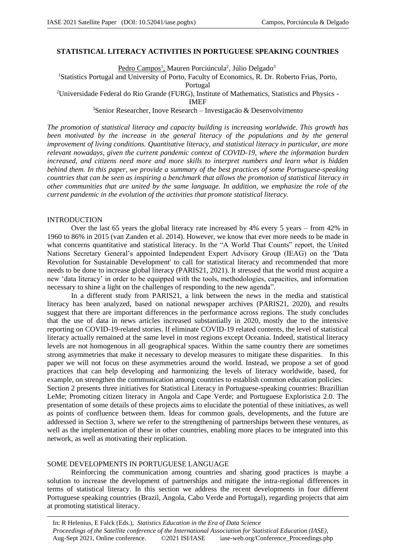## **STATISTICAL LITERACY ACTIVITIES IN PORTUGUESE SPEAKING COUNTRIES**

Pedro Campos<sup>1</sup>, Mauren Porciúncula<sup>2</sup>, Júlio Delgado<sup>3</sup>

<sup>1</sup>Statistics Portugal and University of Porto, Faculty of Economics, R. Dr. Roberto Frias, Porto,

Portugal

<sup>2</sup>Universidade Federal do Rio Grande (FURG), Institute of Mathematics, Statistics and Physics -

IMEF

<sup>3</sup>Senior Researcher, Inove Research – Investigacão & Desenvolvimento

*The promotion of statistical literacy and capacity building is increasing worldwide. This growth has*  been motivated by the increase in the general literacy of the populations and by the general *improvement of living conditions. Quantitative literacy, and statistical literacy in particular, are more relevant nowadays, given the current pandemic context of COVID-19, where the information burden increased, and citizens need more and more skills to interpret numbers and learn what is hidden behind them. In this paper, we provide a summary of the best practices of some Portuguese-speaking countries that can be seen as inspiring a benchmark that allows the promotion of statistical literacy in other communities that are united by the same language. In addition, we emphasize the role of the current pandemic in the evolution of the activities that promote statistical literacy.*

#### INTRODUCTION

Over the last 65 years the global literacy rate increased by 4% every 5 years – from 42% in 1960 to 86% in 2015 (van Zanden et al. 2014). However, we know that ever more needs to be made in what concerns quantitative and statistical literacy. In the "A World That Counts" report, the United Nations Secretary General's appointed Independent Expert Advisory Group (IEAG) on the 'Data Revolution for Sustainable Development' to call for statistical literacy and recommended that more needs to be done to increase global literacy (PARIS21, 2021). It stressed that the world must acquire a new 'data literacy' in order to be equipped with the tools, methodologies, capacities, and information necessary to shine a light on the challenges of responding to the new agenda".

In a different study from PARIS21, a link between the news in the media and statistical literacy has been analyzed, based on national newspaper archives (PARIS21, 2020), and results suggest that there are important differences in the performance across regions. The study concludes that the use of data in news articles increased substantially in 2020, mostly due to the intensive reporting on COVID-19-related stories. If eliminate COVID-19 related contents, the level of statistical literacy actually remained at the same level in most regions except Oceania. Indeed, statistical literacy levels are not homogenous in all geographical spaces. Within the same country there are sometimes strong asymmetries that make it necessary to develop measures to mitigate these disparities. In this paper we will not focus on these asymmetries around the world. Instead, we propose a set of good practices that can help developing and harmonizing the levels of literacy worldwide, based, for example, on strengthen the communication among countries to establish common education policies.

Section 2 presents three initiatives for Statistical Literacy in Portuguese-speaking countries: Brazillian LeMe; Promoting citizen literacy in Angola and Cape Verde; and Portuguese Exploristica 2.0. The presentation of some details of these projects aims to elucidate the potential of these initiatives, as well as points of confluence between them. Ideas for common goals, developments, and the future are addressed in Section 3, where we refer to the strengthening of partnerships between these ventures, as well as the implementation of these in other countries, enabling more places to be integrated into this network, as well as motivating their replication.

#### SOME DEVELOPMENTS IN PORTUGUESE LANGUAGE

Reinforcing the communication among countries and sharing good practices is maybe a solution to increase the development of partnerships and mitigate the intra-regional differences in terms of statistical literacy. In this section we address the recent developments in four different Portuguese speaking countries (Brazil, Angola, Cabo Verde and Portugal), regarding projects that aim at promoting statistical literacy.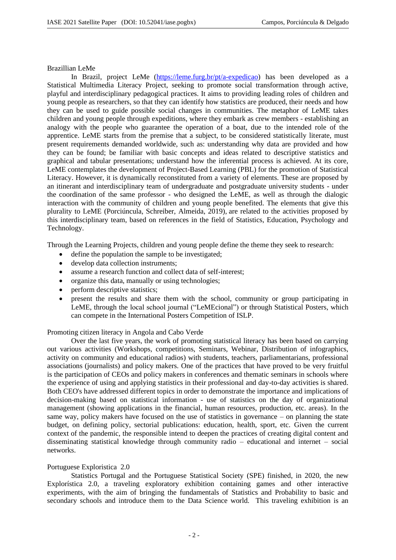#### Brazillian LeMe

In Brazil, project LeMe (https://leme.furg.br/pt/a-expedicao) has been developed as a Statistical Multimedia Literacy Project, seeking to promote social transformation through active, playful and interdisciplinary pedagogical practices. It aims to providing leading roles of children and young people as researchers, so that they can identify how statistics are produced, their needs and how they can be used to guide possible social changes in communities. The metaphor of LeME takes children and young people through expeditions, where they embark as crew members - establishing an analogy with the people who guarantee the operation of a boat, due to the intended role of the apprentice. LeME starts from the premise that a subject, to be considered statistically literate, must present requirements demanded worldwide, such as: understanding why data are provided and how they can be found; be familiar with basic concepts and ideas related to descriptive statistics and graphical and tabular presentations; understand how the inferential process is achieved. At its core, LeME contemplates the development of Project-Based Learning (PBL) for the promotion of Statistical Literacy. However, it is dynamically reconstituted from a variety of elements. These are proposed by an itinerant and interdisciplinary team of undergraduate and postgraduate university students - under the coordination of the same professor - who designed the LeME, as well as through the dialogic interaction with the community of children and young people benefited. The elements that give this plurality to LeME (Porciúncula, Schreiber, Almeida, 2019), are related to the activities proposed by this interdisciplinary team, based on references in the field of Statistics, Education, Psychology and Technology.

Through the Learning Projects, children and young people define the theme they seek to research:

- define the population the sample to be investigated:
- develop data collection instruments:
- assume a research function and collect data of self-interest;
- organize this data, manually or using technologies;
- perform descriptive statistics;
- present the results and share them with the school, community or group participating in LeME, through the local school journal ("LeMEcional") or through Statistical Posters, which can compete in the International Posters Competition of ISLP.

## Promoting citizen literacy in Angola and Cabo Verde

Over the last five years, the work of promoting statistical literacy has been based on carrying out various activities (Workshops, competitions, Seminars, Webinar, Distribution of infographics, activity on community and educational radios) with students, teachers, parliamentarians, professional associations (journalists) and policy makers. One of the practices that have proved to be very fruitful is the participation of CEOs and policy makers in conferences and thematic seminars in schools where the experience of using and applying statistics in their professional and day-to-day activities is shared. Both CEO's have addressed different topics in order to demonstrate the importance and implications of decision-making based on statistical information - use of statistics on the day of organizational management (showing applications in the financial, human resources, production, etc. areas). In the same way, policy makers have focused on the use of statistics in governance – on planning the state budget, on defining policy, sectorial publications: education, health, sport, etc. Given the current context of the pandemic, the responsible intend to deepen the practices of creating digital content and disseminating statistical knowledge through community radio – educational and internet – social networks.

## Portuguese Exploristica 2.0

Statistics Portugal and the Portuguese Statistical Society (SPE) finished, in 2020, the new Explorística 2.0, a traveling exploratory exhibition containing games and other interactive experiments, with the aim of bringing the fundamentals of Statistics and Probability to basic and secondary schools and introduce them to the Data Science world. This traveling exhibition is an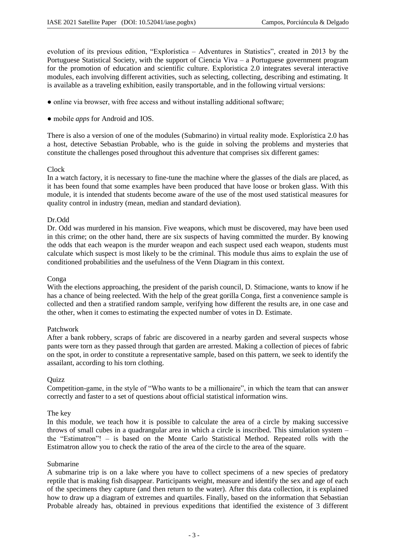evolution of its previous edition, "Explorística – Adventures in Statistics", created in 2013 by the Portuguese Statistical Society, with the support of Ciencia Viva – a Portuguese government program for the promotion of education and scientific culture. Exploristica 2.0 integrates several interactive modules, each involving different activities, such as selecting, collecting, describing and estimating. It is available as a traveling exhibition, easily transportable, and in the following virtual versions:

- online via browser, with free access and without installing additional software;
- mobile *apps* for Android and IOS.

There is also a version of one of the modules (Submarino) in virtual reality mode. Explorística 2.0 has a host, detective Sebastian Probable, who is the guide in solving the problems and mysteries that constitute the challenges posed throughout this adventure that comprises six different games:

# Clock

In a watch factory, it is necessary to fine-tune the machine where the glasses of the dials are placed, as it has been found that some examples have been produced that have loose or broken glass. With this module, it is intended that students become aware of the use of the most used statistical measures for quality control in industry (mean, median and standard deviation).

# Dr.Odd

Dr. Odd was murdered in his mansion. Five weapons, which must be discovered, may have been used in this crime; on the other hand, there are six suspects of having committed the murder. By knowing the odds that each weapon is the murder weapon and each suspect used each weapon, students must calculate which suspect is most likely to be the criminal. This module thus aims to explain the use of conditioned probabilities and the usefulness of the Venn Diagram in this context.

## Conga

With the elections approaching, the president of the parish council, D. Stimacione, wants to know if he has a chance of being reelected. With the help of the great gorilla Conga, first a convenience sample is collected and then a stratified random sample, verifying how different the results are, in one case and the other, when it comes to estimating the expected number of votes in D. Estimate.

## Patchwork

After a bank robbery, scraps of fabric are discovered in a nearby garden and several suspects whose pants were torn as they passed through that garden are arrested. Making a collection of pieces of fabric on the spot, in order to constitute a representative sample, based on this pattern, we seek to identify the assailant, according to his torn clothing.

## **Ouizz**

Competition-game, in the style of "Who wants to be a millionaire", in which the team that can answer correctly and faster to a set of questions about official statistical information wins.

## The key

In this module, we teach how it is possible to calculate the area of a circle by making successive throws of small cubes in a quadrangular area in which a circle is inscribed. This simulation system – the "Estimatron"! – is based on the Monte Carlo Statistical Method. Repeated rolls with the Estimatron allow you to check the ratio of the area of the circle to the area of the square.

## Submarine

A submarine trip is on a lake where you have to collect specimens of a new species of predatory reptile that is making fish disappear. Participants weight, measure and identify the sex and age of each of the specimens they capture (and then return to the water). After this data collection, it is explained how to draw up a diagram of extremes and quartiles. Finally, based on the information that Sebastian Probable already has, obtained in previous expeditions that identified the existence of 3 different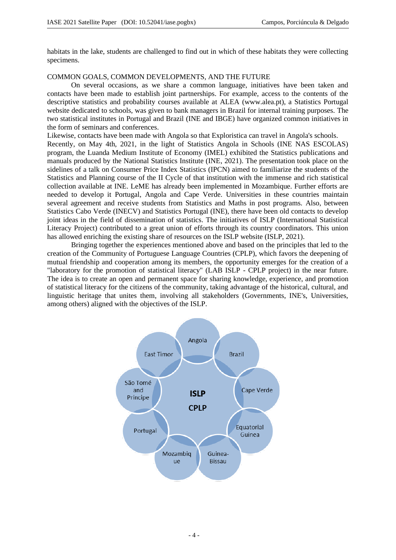habitats in the lake, students are challenged to find out in which of these habitats they were collecting specimens.

# COMMON GOALS, COMMON DEVELOPMENTS, AND THE FUTURE

On several occasions, as we share a common language, initiatives have been taken and contacts have been made to establish joint partnerships. For example, access to the contents of the descriptive statistics and probability courses available at ALEA (www.alea.pt), a Statistics Portugal website dedicated to schools, was given to bank managers in Brazil for internal training purposes. The two statistical institutes in Portugal and Brazil (INE and IBGE) have organized common initiatives in the form of seminars and conferences.

Likewise, contacts have been made with Angola so that Exploristica can travel in Angola's schools. Recently, on May 4th, 2021, in the light of Statistics Angola in Schools (INE NAS ESCOLAS) program, the Luanda Medium Institute of Economy (IMEL) exhibited the Statistics publications and manuals produced by the National Statistics Institute (INE, 2021). The presentation took place on the sidelines of a talk on Consumer Price Index Statistics (IPCN) aimed to familiarize the students of the Statistics and Planning course of the II Cycle of that institution with the immense and rich statistical collection available at INE. LeME has already been implemented in Mozambique. Further efforts are needed to develop it Portugal, Angola and Cape Verde. Universities in these countries maintain several agreement and receive students from Statistics and Maths in post programs. Also, between Statistics Cabo Verde (INECV) and Statistics Portugal (INE), there have been old contacts to develop joint ideas in the field of dissemination of statistics. The initiatives of ISLP (International Statistical Literacy Project) contributed to a great union of efforts through its country coordinators. This union has allowed enriching the existing share of resources on the ISLP website (ISLP, 2021).

Bringing together the experiences mentioned above and based on the principles that led to the creation of the Community of Portuguese Language Countries (CPLP), which favors the deepening of mutual friendship and cooperation among its members, the opportunity emerges for the creation of a "laboratory for the promotion of statistical literacy" (LAB ISLP - CPLP project) in the near future. The idea is to create an open and permanent space for sharing knowledge, experience, and promotion of statistical literacy for the citizens of the community, taking advantage of the historical, cultural, and linguistic heritage that unites them, involving all stakeholders (Governments, INE's, Universities, among others) aligned with the objectives of the ISLP.